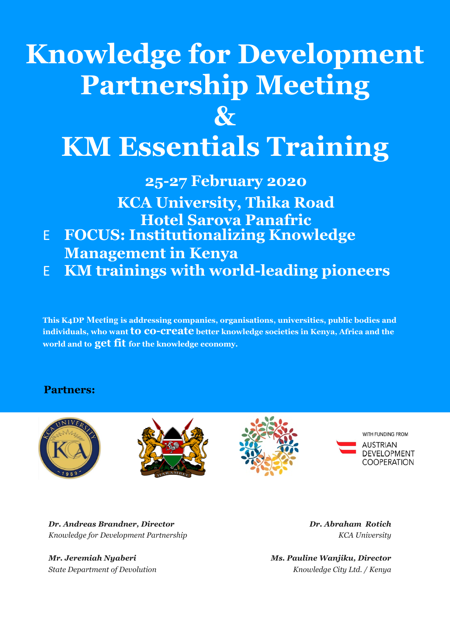# **Knowledge for Development Partnership Meeting**

**&**

# **KM Essentials Training**

**25-27 February 2020**

**KCA University, Thika Road Hotel Sarova Panafric**

- E **FOCUS: Institutionalizing Knowledge Management in Kenya**
- E **KM trainings with world-leading pioneers**

**This K4DP Meeting is addressing companies, organisations, universities, public bodies and individuals, who want to co-create better knowledge societies in Kenya, Africa and the world and to get fit for the knowledge economy.**

### **Partners:**









*Dr. Andreas Brandner, Director Dr. Abraham Rotich Knowledge for Development Partnership KCA University* 

*Mr. Jeremiah Nyaberi Ms. Pauline Wanjiku, Director State Department of Devolution Knowledge City Ltd. / Kenya*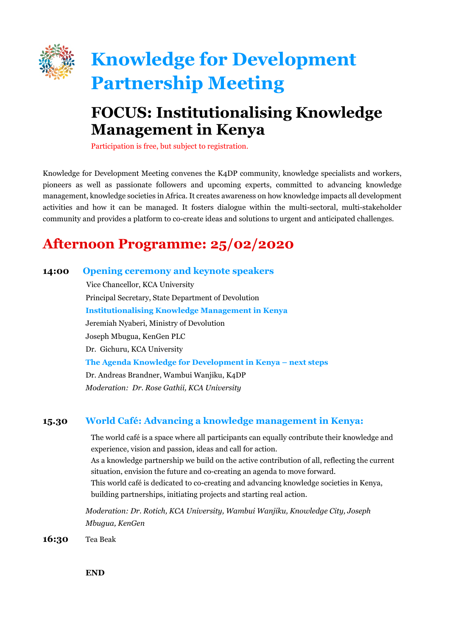

# **Knowledge for Development Partnership Meeting**

## **FOCUS: Institutionalising Knowledge Management in Kenya**

Participation is free, but subject to registration.

Knowledge for Development Meeting convenes the K4DP community, knowledge specialists and workers, pioneers as well as passionate followers and upcoming experts, committed to advancing knowledge management, knowledge societies in Africa. It creates awareness on how knowledge impacts all development activities and how it can be managed. It fosters dialogue within the multi-sectoral, multi-stakeholder community and provides a platform to co-create ideas and solutions to urgent and anticipated challenges.

## **Afternoon Programme: 25/02/2020**

#### **14:00 Opening ceremony and keynote speakers**

 Vice Chancellor, KCA University Principal Secretary, State Department of Devolution **Institutionalising Knowledge Management in Kenya** Jeremiah Nyaberi, Ministry of Devolution Joseph Mbugua, KenGen PLC Dr. Gichuru, KCA University **The Agenda Knowledge for Development in Kenya – next steps** Dr. Andreas Brandner, Wambui Wanjiku, K4DP *Moderation: Dr. Rose Gathii, KCA University*

### **15.30 World Café: Advancing a knowledge management in Kenya:**

The world café is a space where all participants can equally contribute their knowledge and experience, vision and passion, ideas and call for action. As a knowledge partnership we build on the active contribution of all, reflecting the current situation, envision the future and co-creating an agenda to move forward. This world café is dedicated to co-creating and advancing knowledge societies in Kenya, building partnerships, initiating projects and starting real action.

*Moderation: Dr. Rotich, KCA University, Wambui Wanjiku, Knowledge City, Joseph Mbugua, KenGen*

**16:30** Tea Beak

**END**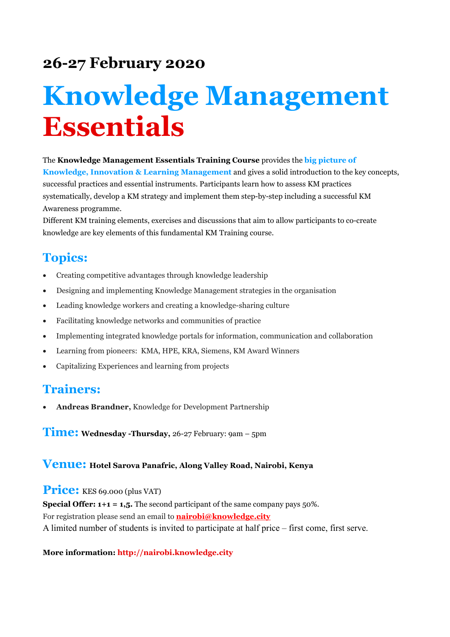## **26-27 February 2020**

# **Knowledge Management Essentials**

The **Knowledge Management Essentials Training Course** provides the **big picture of Knowledge, Innovation & Learning Management** and gives a solid introduction to the key concepts, successful practices and essential instruments. Participants learn how to assess KM practices systematically, develop a KM strategy and implement them step-by-step including a successful KM Awareness programme.

Different KM training elements, exercises and discussions that aim to allow participants to co-create knowledge are key elements of this fundamental KM Training course.

## **Topics:**

- Creating competitive advantages through knowledge leadership
- Designing and implementing Knowledge Management strategies in the organisation
- Leading knowledge workers and creating a knowledge-sharing culture
- Facilitating knowledge networks and communities of practice
- Implementing integrated knowledge portals for information, communication and collaboration
- Learning from pioneers: KMA, HPE, KRA, Siemens, KM Award Winners
- Capitalizing Experiences and learning from projects

## **Trainers:**

• **Andreas Brandner,** Knowledge for Development Partnership

**Time: Wednesday -Thursday,** 26-27 February: 9am – 5pm

### **Venue: Hotel Sarova Panafric, Along Valley Road, Nairobi, Kenya**

Price: KES 69.000 (plus VAT)

**Special Offer: 1+1 = 1,5.** The second participant of the same company pays 50%. For registration please send an email to **[nairobi@knowledge.city](mailto:nairobi@knowledge.city)** A limited number of students is invited to participate at half price – first come, first serve.

#### **More information: http://nairobi.knowledge.city**